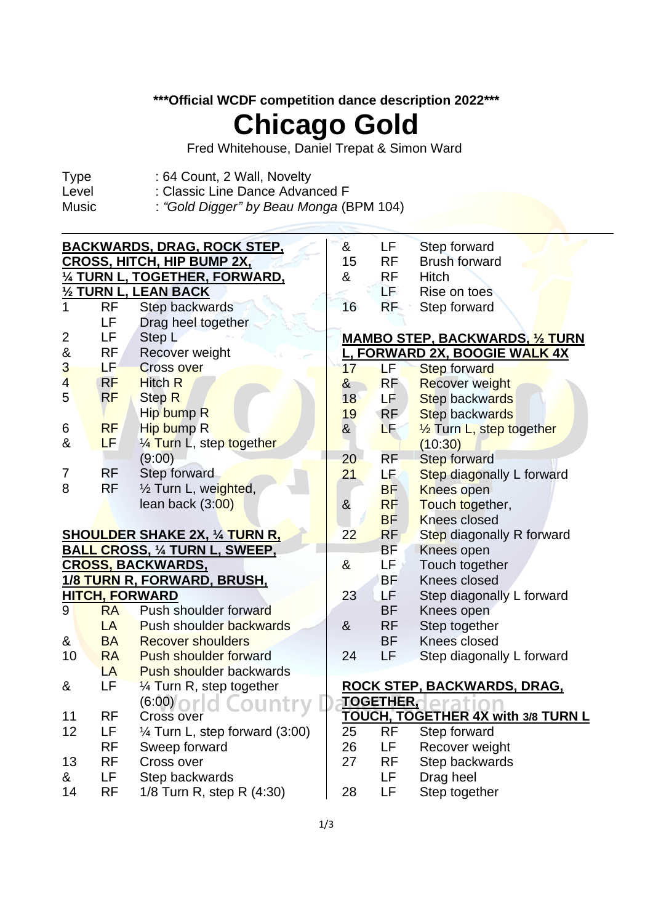### **\*\*\*Official WCDF competition dance description 2022\*\*\***

# **Chicago Gold**

Fred Whitehouse, Daniel Trepat & Simon Ward

- Type : 64 Count, 2 Wall, Novelty
- Level : Classic Line Dance Advanced F
- Music : *"Gold Digger" by Beau Monga* (BPM 104)

| <b>BACKWARDS, DRAG, ROCK STEP,</b> |                                       |                                       |                                        | LF                            | Step forward                              |  |  |
|------------------------------------|---------------------------------------|---------------------------------------|----------------------------------------|-------------------------------|-------------------------------------------|--|--|
|                                    | <b>CROSS, HITCH, HIP BUMP 2X,</b>     |                                       |                                        |                               | <b>Brush forward</b>                      |  |  |
|                                    |                                       | 1/4 TURN L, TOGETHER, FORWARD,        | &                                      | <b>RF</b>                     | Hitch                                     |  |  |
| 1/2 TURN L, LEAN BACK              |                                       |                                       |                                        | LF                            | Rise on toes                              |  |  |
| 1                                  | <b>RF</b>                             | Step backwards                        | 16                                     | RF                            | Step forward                              |  |  |
|                                    | LF                                    | Drag heel together                    |                                        |                               |                                           |  |  |
| $\overline{2}$                     | LF                                    | Step L                                | <b>MAMBO STEP, BACKWARDS, 1/2 TURN</b> |                               |                                           |  |  |
| $\&$                               | <b>RF</b><br>Recover weight           |                                       |                                        | L, FORWARD 2X, BOOGIE WALK 4X |                                           |  |  |
| 3                                  | LF.                                   | <b>Cross over</b>                     | 17                                     | LF                            | <b>Step forward</b>                       |  |  |
| $\overline{4}$                     | <b>RF</b>                             | <b>Hitch R</b>                        | $\alpha$                               | <b>RF</b>                     | <b>Recover weight</b>                     |  |  |
| 5                                  | <b>RF</b>                             | <b>Step R</b>                         | 18                                     | LF                            | <b>Step backwards</b>                     |  |  |
|                                    |                                       | Hip bump R                            | 19                                     | <b>RF</b>                     | <b>Step backwards</b>                     |  |  |
| 6                                  | <b>RF</b>                             | Hip bump R                            | $\alpha$                               | LF                            | 1/ <sub>2</sub> Turn L, step together     |  |  |
| &                                  | <b>LF</b>                             | 1/4 Turn L, step together             |                                        |                               | (10:30)                                   |  |  |
|                                    |                                       | (9:00)                                | 20                                     | <b>RF</b>                     | <b>Step forward</b>                       |  |  |
| 7                                  | <b>RF</b>                             | Step forward                          | 21                                     | LF.                           | Step diagonally L forward                 |  |  |
| 8                                  | <b>RF</b>                             | 1/2 Turn L, weighted,                 |                                        | <b>BF</b>                     | <b>Knees open</b>                         |  |  |
|                                    |                                       | lean back $(3:00)$                    | &                                      | <b>RF</b>                     | Touch together,                           |  |  |
|                                    |                                       |                                       |                                        | <b>BF</b>                     | <b>Knees closed</b>                       |  |  |
|                                    |                                       | <b>SHOULDER SHAKE 2X, 1/4 TURN R.</b> | 22                                     | <b>RF</b>                     | Step diagonally R forward                 |  |  |
|                                    | <b>BALL CROSS, 1/4 TURN L, SWEEP,</b> |                                       |                                        | BF                            | Knees open                                |  |  |
| <b>CROSS, BACKWARDS,</b>           |                                       |                                       | $\boldsymbol{\alpha}$                  | LF                            | Touch together                            |  |  |
|                                    |                                       | 1/8 TURN R, FORWARD, BRUSH,           |                                        | <b>BF</b>                     | Knees closed                              |  |  |
|                                    |                                       | <b>HITCH, FORWARD</b>                 | 23                                     | LF.                           | Step diagonally L forward                 |  |  |
| 9                                  | <b>RA</b>                             | Push shoulder forward                 |                                        | <b>BF</b>                     | Knees open                                |  |  |
|                                    | <b>LA</b>                             | <b>Push shoulder backwards</b>        | &                                      | <b>RF</b>                     | Step together                             |  |  |
| &                                  | <b>BA</b>                             | <b>Recover shoulders</b>              |                                        | <b>BF</b>                     | Knees closed                              |  |  |
| 10                                 | <b>RA</b>                             | <b>Push shoulder forward</b>          | 24                                     | LF.                           | Step diagonally L forward                 |  |  |
|                                    | LA                                    | <b>Push shoulder backwards</b>        |                                        |                               |                                           |  |  |
| &                                  | LF                                    | $\frac{1}{4}$ Turn R, step together   | ROCK STEP, BACKWARDS, DRAG,            |                               |                                           |  |  |
|                                    |                                       | (6:00)                                | <b>TOGETHER,</b>                       |                               |                                           |  |  |
| 11                                 | <b>RF</b>                             | Cross over                            |                                        |                               | <b>TOUCH, TOGETHER 4X with 3/8 TURN L</b> |  |  |
| 12                                 | LF                                    | 1⁄4 Turn L, step forward (3:00)       | 25                                     | <b>RF</b>                     | Step forward                              |  |  |
|                                    | <b>RF</b>                             | Sweep forward                         | 26                                     | LF                            | Recover weight                            |  |  |
| 13                                 | <b>RF</b>                             | Cross over                            | 27                                     | <b>RF</b>                     | Step backwards                            |  |  |
| &                                  | LF                                    | Step backwards                        |                                        | LF                            | Drag heel                                 |  |  |
| 14                                 | <b>RF</b>                             | 1/8 Turn R, step R (4:30)             | 28                                     | LF                            | Step together                             |  |  |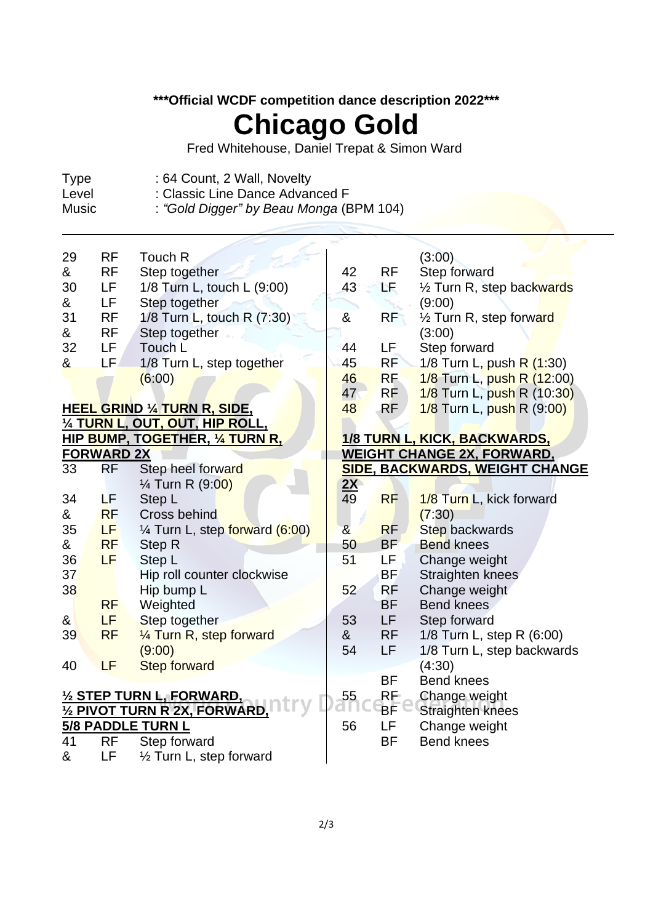### **\*\*\*Official WCDF competition dance description 2022\*\*\***

# **Chicago Gold**

Fred Whitehouse, Daniel Trepat & Simon Ward

- Type : 64 Count, 2 Wall, Novelty<br>Level : Classic Line Dance Advar
- Level : Classic Line Dance Advanced F<br>Music : "Gold Digger" by Beau Monga (B
	- : "Gold Digger" by Beau Monga (BPM 104)

| 29                                                 | <b>RF</b>                                                              | Touch R                                |                       |                                   | (3:00)                                |  |  |  |
|----------------------------------------------------|------------------------------------------------------------------------|----------------------------------------|-----------------------|-----------------------------------|---------------------------------------|--|--|--|
| &                                                  | <b>RF</b>                                                              | Step together                          | 42                    | <b>RF</b>                         | Step forward                          |  |  |  |
| 30                                                 | LF.                                                                    | 1/8 Turn L, touch L (9:00)             | 43                    | ΈĘ.                               | 1/2 Turn R, step backwards            |  |  |  |
| &                                                  | LF                                                                     | Step together                          |                       |                                   | (9:00)                                |  |  |  |
| 31                                                 | <b>RF</b>                                                              | 1/8 Turn L, touch R (7:30)             | &                     | <b>RF</b>                         | 1/2 Turn R, step forward              |  |  |  |
| &                                                  | <b>RF</b>                                                              | Step together                          |                       |                                   | (3:00)                                |  |  |  |
| 32                                                 | LF                                                                     | Touch L                                | 44                    | LF.                               | Step forward                          |  |  |  |
| &                                                  | LF.                                                                    | 1/8 Turn L, step together              | 45                    | RF                                | 1/8 Turn L, push R (1:30)             |  |  |  |
|                                                    |                                                                        | (6:00)                                 | 46                    | <b>RF</b>                         | 1/8 Turn L, push R (12:00)            |  |  |  |
|                                                    |                                                                        |                                        | 47                    | <b>RF</b>                         | 1/8 Turn L, push R (10:30)            |  |  |  |
|                                                    |                                                                        | <b>HEEL GRIND 1/4 TURN R, SIDE,</b>    | 48                    | RF                                | 1/8 Turn L, push R (9:00)             |  |  |  |
|                                                    |                                                                        | <u>1⁄4 TURN L, OUT, OUT, HIP ROLL,</u> |                       |                                   |                                       |  |  |  |
|                                                    | <b>HIP BUMP, TOGETHER, 1/4 TURN R.</b><br>1/8 TURN L, KICK, BACKWARDS, |                                        |                       |                                   |                                       |  |  |  |
| <b>FORWARD 2X</b>                                  |                                                                        |                                        |                       | <u>WEIGHT CHANGE 2X, FORWARD,</u> |                                       |  |  |  |
| 33                                                 | <b>RF</b>                                                              | Step heel forward                      |                       |                                   | <b>SIDE, BACKWARDS, WEIGHT CHANGE</b> |  |  |  |
|                                                    |                                                                        | 1/ <sub>4</sub> Turn R (9:00)          | <u>2X</u>             |                                   |                                       |  |  |  |
| 34                                                 | ΔF                                                                     | Step L                                 | $\overline{49}$       | <b>RF</b>                         | 1/8 Turn L, kick forward              |  |  |  |
| &                                                  | <b>RF</b>                                                              | Cross behind                           |                       |                                   | (7:30)                                |  |  |  |
| 35                                                 | LF <sup>1</sup>                                                        | 1/4 Turn L, step forward (6:00)        | $\boldsymbol{\alpha}$ | <b>RF</b>                         | <b>Step backwards</b>                 |  |  |  |
| &                                                  | <b>RF</b>                                                              | Step R                                 | 50                    | <b>BF</b>                         | <b>Bend knees</b>                     |  |  |  |
| 36                                                 | LF                                                                     | Step L                                 | 51                    | LF                                | Change weight                         |  |  |  |
| 37                                                 |                                                                        | Hip roll counter clockwise             |                       | <b>BF</b>                         | Straighten knees                      |  |  |  |
| 38                                                 |                                                                        | Hip bump L                             | 52                    | <b>RF</b>                         | Change weight                         |  |  |  |
|                                                    | <b>RF</b>                                                              | Weighted                               |                       | <b>BF</b>                         | <b>Bend knees</b>                     |  |  |  |
| &                                                  | LF.                                                                    | Step together                          | 53                    | LF.                               | Step forward                          |  |  |  |
| 39                                                 | <b>RF</b>                                                              | 1/4 Turn R, step forward               | &                     | <b>RF</b>                         | 1/8 Turn L, step R (6:00)             |  |  |  |
|                                                    |                                                                        | (9:00)                                 | 54                    | <b>LF</b>                         | 1/8 Turn L, step backwards            |  |  |  |
| 40                                                 | LF                                                                     |                                        |                       |                                   |                                       |  |  |  |
|                                                    |                                                                        | <b>Step forward</b>                    |                       | <b>BF</b>                         | (4:30)<br><b>Bend knees</b>           |  |  |  |
|                                                    |                                                                        |                                        | 55                    |                                   |                                       |  |  |  |
| <b>1/2 STEP TURN L, FORWARD,</b>                   |                                                                        |                                        |                       | RF<br>BF                          | Change weight                         |  |  |  |
| 1/2 PIVOT TURN R 2X, FORWARD,<br>5/8 PADDLE TURN L |                                                                        |                                        |                       |                                   | Straighten knees                      |  |  |  |
|                                                    |                                                                        |                                        | 56                    | <b>LF</b>                         | Change weight                         |  |  |  |
| 41                                                 | <b>RF</b>                                                              | Step forward                           |                       | <b>BF</b>                         | <b>Bend knees</b>                     |  |  |  |
| &                                                  | LF                                                                     | 1/2 Turn L, step forward               |                       |                                   |                                       |  |  |  |